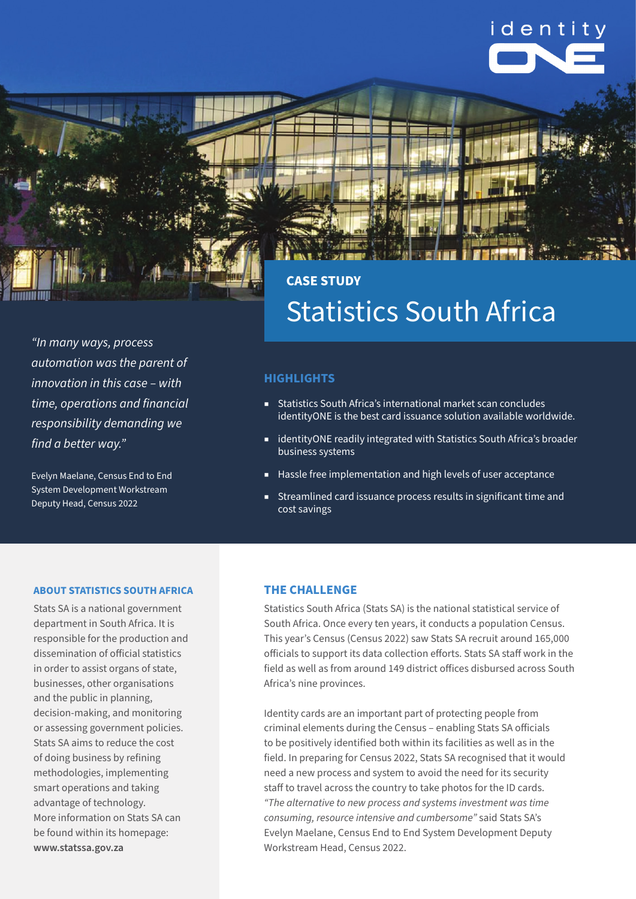



*"In many ways, process automation was the parent of innovation in this case – with time, operations and financial responsibility demanding we find a better way."*

Evelyn Maelane, Census End to End System Development Workstream Deputy Head, Census 2022

### **CASE STUDY** Statistics South Africa

### **HIGHLIGHTS**

- Statistics South Africa's international market scan concludes identityONE is the best card issuance solution available worldwide.
- identityONE readily integrated with Statistics South Africa's broader business systems
- Hassle free implementation and high levels of user acceptance
- Streamlined card issuance process results in significant time and cost savings

#### **ABOUT STATISTICS SOUTH AFRICA**

Stats SA is a national government department in South Africa. It is responsible for the production and dissemination of official statistics in order to assist organs of state, businesses, other organisations and the public in planning, decision-making, and monitoring or assessing government policies. Stats SA aims to reduce the cost of doing business by refining methodologies, implementing smart operations and taking advantage of technology. More information on Stats SA can be found within its homepage: **www.statssa.gov.za**

### **THE CHALLENGE**

Statistics South Africa (Stats SA) is the national statistical service of South Africa. Once every ten years, it conducts a population Census. This year's Census (Census 2022) saw Stats SA recruit around 165,000 officials to support its data collection efforts. Stats SA staff work in the field as well as from around 149 district offices disbursed across South Africa's nine provinces.

Identity cards are an important part of protecting people from criminal elements during the Census – enabling Stats SA officials to be positively identified both within its facilities as well as in the field. In preparing for Census 2022, Stats SA recognised that it would need a new process and system to avoid the need for its security staff to travel across the country to take photos for the ID cards. *"The alternative to new process and systems investment was time consuming, resource intensive and cumbersome"* said Stats SA's Evelyn Maelane, Census End to End System Development Deputy Workstream Head, Census 2022.